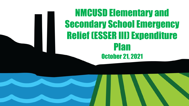NMCUSD Elementary and Secondary School Emergency Relief (ESSER III) Expenditure Plan October 21, 2021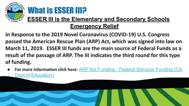

### What is **ESSER III?**

#### **ESSER III is the Elementary and Secondary Schools Emergency Relief**

**In Response to the 2019 Novel Coronavirus (COVID-19) U.S. Congress passed the American Rescue Plan (ARP) Act, which was signed into law on March 11, 2019. ESSER III funds are the main source of Federal Funds as a result of the passage of ARP. The III indicates the third round for this type of funding.**

**For more information click here: <b>[ARP Act Funding - Federal Stimulus Funding \(CA](https://www.cde.ca.gov/fg/cr/arpact.asp)** [Dept of Education\)](https://www.cde.ca.gov/fg/cr/arpact.asp)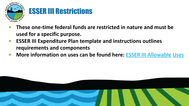

#### ESSER III Restrictions

- **• These one-time federal funds are restricted in nature and must be used for a specific purpose.**
- **• ESSER III Expenditure Plan template and instructions outlines requirements and components**
- **• More information on uses can be found here: [ESSER III Allowable](https://www.cde.ca.gov/fg/cr/arpact.asp#esseriii) Uses**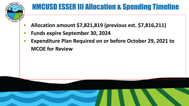

#### NMCUSD ESSER III Allocation & Spending Timeline

- **• Allocation amount \$7,821,819 (previous est. \$7,816,211)**
- **• Funds expire September 30, 2024**
- **• Expenditure Plan Required on or before October 29, 2021 to MCOE for Review**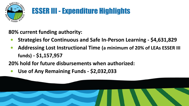

#### ESSER III - Expenditure Highlights

**80% current funding authority:**

- **• Strategies for Continuous and Safe In-Person Learning \$4,631,829**
- **• Addressing Lost Instructional Time (a minimum of 20% of LEAs ESSER III funds) - \$1,157,957**

**20% hold for future disbursements when authorized:**

**• Use of Any Remaining Funds - \$2,032,033**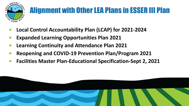

# Alignment with Other LEA Plans in ESSER III Plan

- **• Local Control Accountability Plan (LCAP) for 2021-2024**
- **• Expanded Learning Opportunities Plan 2021**
- **• Learning Continuity and Attendance Plan 2021**
- **• Reopening and COVID-19 Prevention Plan/Program 2021**
- **• Facilities Master Plan-Educational Specification-Sept 2, 2021**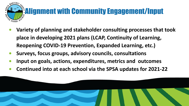

- **• Variety of planning and stakeholder consulting processes that took place in developing 2021 plans (LCAP, Continuity of Learning, Reopening COVID-19 Prevention, Expanded Learning, etc.)**
- **• Surveys, focus groups, advisory councils, consultations**
- **• Input on goals, actions, expenditures, metrics and outcomes**
- **• Continued into at each school via the SPSA updates for 2021-22**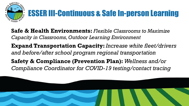

**Safe & Health Environments:** *Flexible Classrooms to Maximize Capacity in Classrooms, Outdoor Learning Environment* **Expand Transportation Capacity:** *Increase white fleet/drivers* 

*and before/after school program regional transportation*

**Safety & Compliance (Prevention Plan):** *Wellness and/or Compliance Coordinator for COVID-19 testing/contact tracing*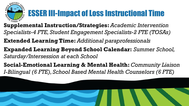

## ESSER III-Impact of Loss Instructional Time

- **Supplemental Instruction/Strategies:** *Academic Intervention Specialists-4 FTE, Student Engagement Specialists-2 FTE (TOSAs)*
- **Extended Learning Time:** *Additional paraprofessionals*
- **Expanded Learning Beyond School Calendar:** *Summer School, Saturday/Intersession at each School*
- **Social-Emotional Learning & Mental Health:** *Community Liaison I-Bilingual (6 FTE), School Based Mental Health Counselors (6 FTE)*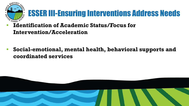

## ESSER III-Ensuring Interventions Address Needs

- *<b>Identification of Academic Status/Focus for* **Intervention/Acceleration**
- **• Social-emotional, mental health, behavioral supports and coordinated services**